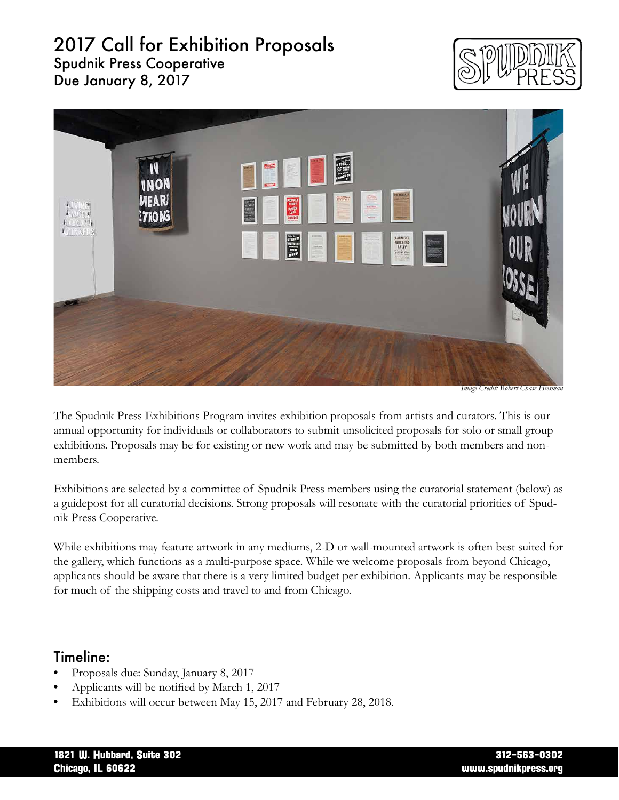# 2017 Call for Exhibition Proposals Spudnik Press Cooperative

Due January 8, 2017





*Image Credit: Robert Chase Hiesman* 

The Spudnik Press Exhibitions Program invites exhibition proposals from artists and curators. This is our annual opportunity for individuals or collaborators to submit unsolicited proposals for solo or small group exhibitions. Proposals may be for existing or new work and may be submitted by both members and nonmembers.

Exhibitions are selected by a committee of Spudnik Press members using the curatorial statement (below) as a guidepost for all curatorial decisions. Strong proposals will resonate with the curatorial priorities of Spudnik Press Cooperative.

While exhibitions may feature artwork in any mediums, 2-D or wall-mounted artwork is often best suited for the gallery, which functions as a multi-purpose space. While we welcome proposals from beyond Chicago, applicants should be aware that there is a very limited budget per exhibition. Applicants may be responsible for much of the shipping costs and travel to and from Chicago.

### Timeline:

- Proposals due: Sunday, January 8, 2017
- Applicants will be notified by March 1, 2017
- Exhibitions will occur between May 15, 2017 and February 28, 2018.